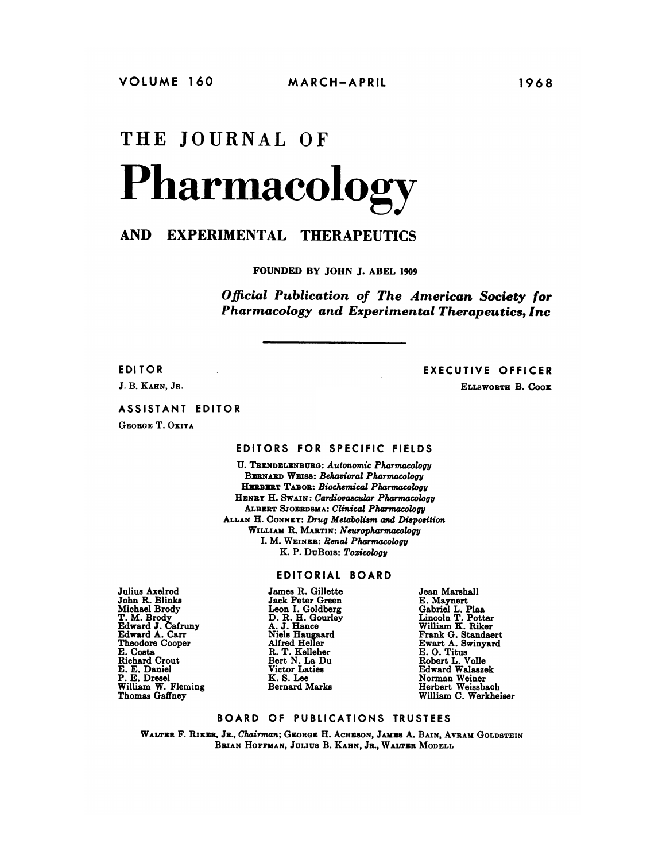# **THE JOURNAL OF Pharmacology**

# **AND EXPERIMENTAL THERAPEUTICS**

FOUNDED BY JOHN J. ABEL 1909

*Official Publication of The American Society for Pharmacology and Experimental Therapeutics, Inc*

**EDI TOR**

*J.* **B.** KAHN, **JR.**

EXECUTIVE OFFICER

ELLSWORTR B. Coox

#### **ASSISTANT EDITOR**

GEORGE T. OKITA

# **EDITORS FOR SPECIFIC FIELDS**

U. TRENDELENBURG: *Autonomic Pharmacology* **BERNARD WEISS: Behavioral Pharmacology** HERBERT **TABOR:** *Biochemical Pharmacology* HENRY H. SWAIN: *Cardiovascular Pharmacology* ALBERT SJOERDSMA: *Clinical Pharmacology* ALLAN H. CoNNEY: *Drug Metabolism and Disposition* WILLIAM H. MARTIN: *Neuropharmacology* I. M. WEINER: *Renal Pharmacology* K. P. DuBois: *Toxicology*

## EDITORIAL BOARD

Julius Axelrod John R. Blinks Michael Brody T. M. Brody Edward *J.* Cafruny Edward A. Carr Theodore Cooper E. Costa Richard Crout E. E. Daniel P. E. Dresel William W. Fleming Thomas Gaffney

James R. Gillette Jack Peter Green Leon I. Goldberg<br>D. R. H. Gourley<br>A. J. Hance Niels Haugaard Alfred Heller R. T. Kelleher Bert N. La Du Victor Laties K. S. Lee Bernard Marks

Jean Marshall E. Maynert Gabriel L. Plea Lincoln T. Potter William K. Riker Frank G. Standaert Ewart A. Swinyard E. 0. Titus Robert L. Voile Edward Walaszek Norman Weiner Herbert Weissbach William C. Werkheiser

### **BOARD OF PUBLICATIONS TRUSTEES**

**WALTER** F. Rixzn,, **JR.,** *Chairman;* **GEORGE** H. ACHESON, JAMES A. BArn, **AVRAM GOLDSTEIN** BRIAN HOFFMAN, JULIUS B. KAHN, JR., WALTER MODELL